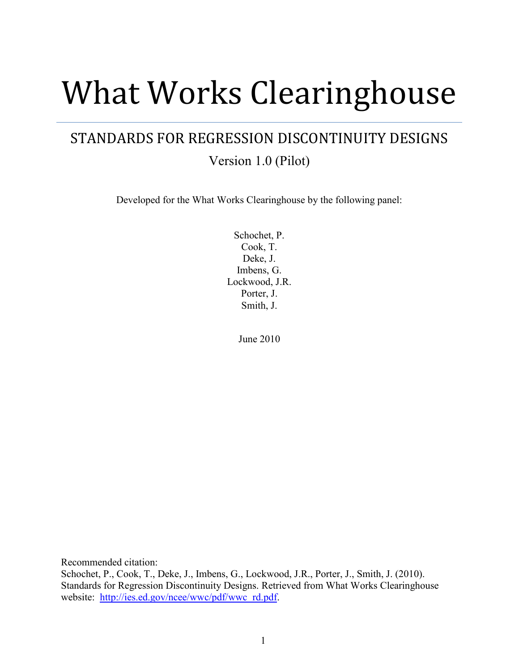# What Works Clearinghouse

# STANDARDS FOR REGRESSION DISCONTINUITY DESIGNS

Version 1.0 (Pilot)

Developed for the What Works Clearinghouse by the following panel:

Schochet, P. Cook, T. Deke, J. Imbens, G. Lockwood, J.R. Porter, J. Smith, J.

June 2010

Recommended citation:

Schochet, P., Cook, T., Deke, J., Imbens, G., Lockwood, J.R., Porter, J., Smith, J. (2010). Standards for Regression Discontinuity Designs. Retrieved from What Works Clearinghouse website: [http://ies.ed.gov/ncee/wwc/pdf/wwc\\_rd.pdf.](http://ies.ed.gov/ncee/wwc/pdf/wwc_rd.pdf)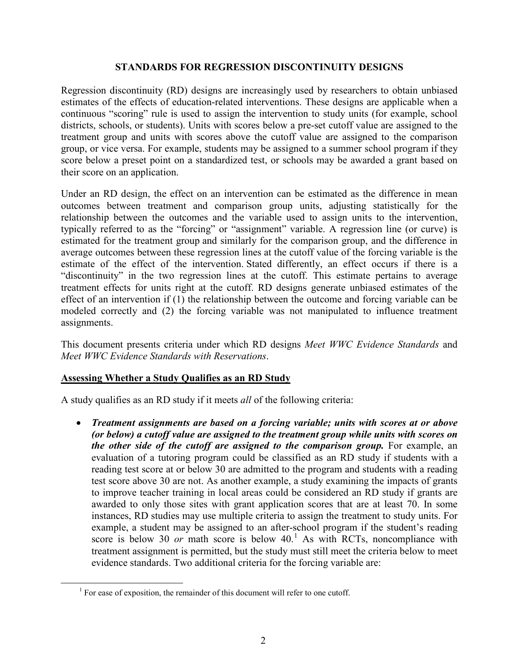#### **STANDARDS FOR REGRESSION DISCONTINUITY DESIGNS**

Regression discontinuity (RD) designs are increasingly used by researchers to obtain unbiased estimates of the effects of education-related interventions. These designs are applicable when a continuous "scoring" rule is used to assign the intervention to study units (for example, school districts, schools, or students). Units with scores below a pre-set cutoff value are assigned to the treatment group and units with scores above the cutoff value are assigned to the comparison group, or vice versa. For example, students may be assigned to a summer school program if they score below a preset point on a standardized test, or schools may be awarded a grant based on their score on an application.

Under an RD design, the effect on an intervention can be estimated as the difference in mean outcomes between treatment and comparison group units, adjusting statistically for the relationship between the outcomes and the variable used to assign units to the intervention, typically referred to as the "forcing" or "assignment" variable. A regression line (or curve) is estimated for the treatment group and similarly for the comparison group, and the difference in average outcomes between these regression lines at the cutoff value of the forcing variable is the estimate of the effect of the intervention. Stated differently, an effect occurs if there is a "discontinuity" in the two regression lines at the cutoff. This estimate pertains to average treatment effects for units right at the cutoff. RD designs generate unbiased estimates of the effect of an intervention if (1) the relationship between the outcome and forcing variable can be modeled correctly and (2) the forcing variable was not manipulated to influence treatment assignments.

This document presents criteria under which RD designs *Meet WWC Evidence Standards* and *Meet WWC Evidence Standards with Reservations*.

## **Assessing Whether a Study Qualifies as an RD Study**

A study qualifies as an RD study if it meets *all* of the following criteria:

• *Treatment assignments are based on a forcing variable; units with scores at or above (or below) a cutoff value are assigned to the treatment group while units with scores on the other side of the cutoff are assigned to the comparison group.* For example, an evaluation of a tutoring program could be classified as an RD study if students with a reading test score at or below 30 are admitted to the program and students with a reading test score above 30 are not. As another example, a study examining the impacts of grants to improve teacher training in local areas could be considered an RD study if grants are awarded to only those sites with grant application scores that are at least 70. In some instances, RD studies may use multiple criteria to assign the treatment to study units. For example, a student may be assigned to an after-school program if the student's reading score is below 30  $or$  math score is below  $40<sup>1</sup>$  $40<sup>1</sup>$  $40<sup>1</sup>$  As with RCTs, noncompliance with treatment assignment is permitted, but the study must still meet the criteria below to meet evidence standards. Two additional criteria for the forcing variable are:

<span id="page-1-0"></span> $1$  For ease of exposition, the remainder of this document will refer to one cutoff.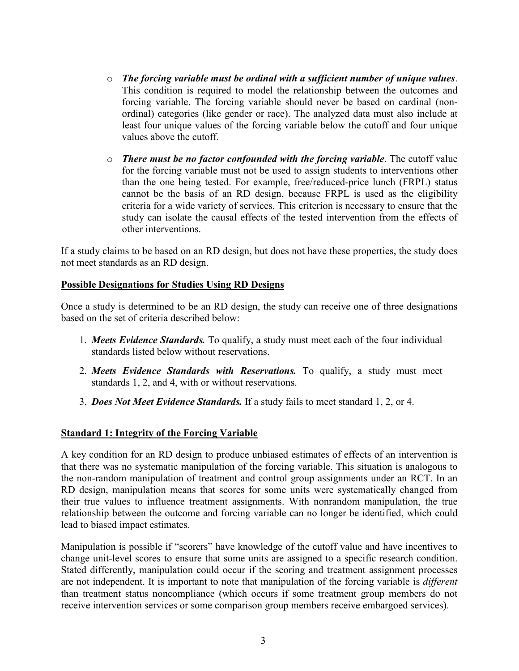- o *The forcing variable must be ordinal with a sufficient number of unique values*. This condition is required to model the relationship between the outcomes and forcing variable. The forcing variable should never be based on cardinal (nonordinal) categories (like gender or race). The analyzed data must also include at least four unique values of the forcing variable below the cutoff and four unique values above the cutoff.
- o *There must be no factor confounded with the forcing variable*. The cutoff value for the forcing variable must not be used to assign students to interventions other than the one being tested. For example, free/reduced-price lunch (FRPL) status cannot be the basis of an RD design, because FRPL is used as the eligibility criteria for a wide variety of services. This criterion is necessary to ensure that the study can isolate the causal effects of the tested intervention from the effects of other interventions.

If a study claims to be based on an RD design, but does not have these properties, the study does not meet standards as an RD design.

#### **Possible Designations for Studies Using RD Designs**

Once a study is determined to be an RD design, the study can receive one of three designations based on the set of criteria described below:

- 1. *Meets Evidence Standards.* To qualify, a study must meet each of the four individual standards listed below without reservations.
- 2. *Meets Evidence Standards with Reservations.* To qualify, a study must meet standards 1, 2, and 4, with or without reservations.
- 3. *Does Not Meet Evidence Standards.* If a study fails to meet standard 1, 2, or 4.

## **Standard 1: Integrity of the Forcing Variable**

A key condition for an RD design to produce unbiased estimates of effects of an intervention is that there was no systematic manipulation of the forcing variable. This situation is analogous to the non-random manipulation of treatment and control group assignments under an RCT. In an RD design, manipulation means that scores for some units were systematically changed from their true values to influence treatment assignments. With nonrandom manipulation, the true relationship between the outcome and forcing variable can no longer be identified, which could lead to biased impact estimates.

Manipulation is possible if "scorers" have knowledge of the cutoff value and have incentives to change unit-level scores to ensure that some units are assigned to a specific research condition. Stated differently, manipulation could occur if the scoring and treatment assignment processes are not independent. It is important to note that manipulation of the forcing variable is *different* than treatment status noncompliance (which occurs if some treatment group members do not receive intervention services or some comparison group members receive embargoed services).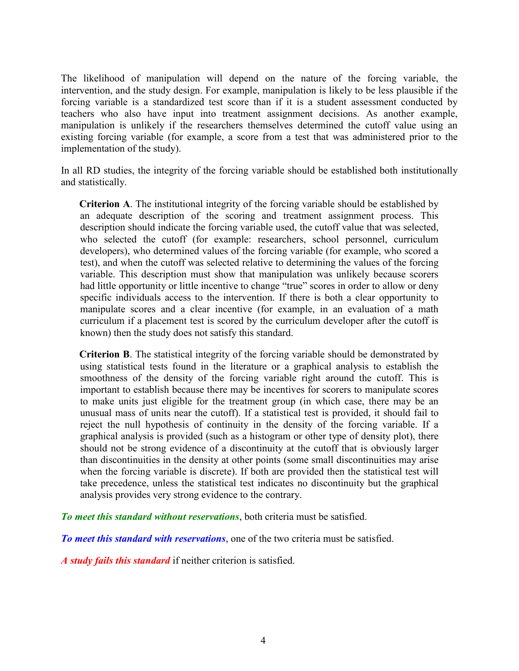The likelihood of manipulation will depend on the nature of the forcing variable, the intervention, and the study design. For example, manipulation is likely to be less plausible if the forcing variable is a standardized test score than if it is a student assessment conducted by teachers who also have input into treatment assignment decisions. As another example, manipulation is unlikely if the researchers themselves determined the cutoff value using an existing forcing variable (for example, a score from a test that was administered prior to the implementation of the study).

In all RD studies, the integrity of the forcing variable should be established both institutionally and statistically.

**Criterion A**. The institutional integrity of the forcing variable should be established by an adequate description of the scoring and treatment assignment process. This description should indicate the forcing variable used, the cutoff value that was selected, who selected the cutoff (for example: researchers, school personnel, curriculum developers), who determined values of the forcing variable (for example, who scored a test), and when the cutoff was selected relative to determining the values of the forcing variable. This description must show that manipulation was unlikely because scorers had little opportunity or little incentive to change "true" scores in order to allow or deny specific individuals access to the intervention. If there is both a clear opportunity to manipulate scores and a clear incentive (for example, in an evaluation of a math curriculum if a placement test is scored by the curriculum developer after the cutoff is known) then the study does not satisfy this standard.

**Criterion B**. The statistical integrity of the forcing variable should be demonstrated by using statistical tests found in the literature or a graphical analysis to establish the smoothness of the density of the forcing variable right around the cutoff. This is important to establish because there may be incentives for scorers to manipulate scores to make units just eligible for the treatment group (in which case, there may be an unusual mass of units near the cutoff). If a statistical test is provided, it should fail to reject the null hypothesis of continuity in the density of the forcing variable. If a graphical analysis is provided (such as a histogram or other type of density plot), there should not be strong evidence of a discontinuity at the cutoff that is obviously larger than discontinuities in the density at other points (some small discontinuities may arise when the forcing variable is discrete). If both are provided then the statistical test will take precedence, unless the statistical test indicates no discontinuity but the graphical analysis provides very strong evidence to the contrary.

*To meet this standard without reservations*, both criteria must be satisfied.

*To meet this standard with reservations*, one of the two criteria must be satisfied.

*A study fails this standard* if neither criterion is satisfied.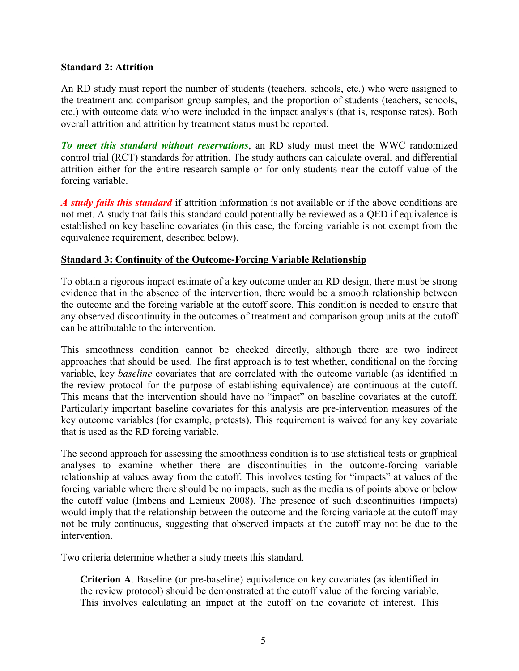#### **Standard 2: Attrition**

An RD study must report the number of students (teachers, schools, etc.) who were assigned to the treatment and comparison group samples, and the proportion of students (teachers, schools, etc.) with outcome data who were included in the impact analysis (that is, response rates). Both overall attrition and attrition by treatment status must be reported.

*To meet this standard without reservations*, an RD study must meet the WWC randomized control trial (RCT) standards for attrition. The study authors can calculate overall and differential attrition either for the entire research sample or for only students near the cutoff value of the forcing variable.

*A study fails this standard* if attrition information is not available or if the above conditions are not met. A study that fails this standard could potentially be reviewed as a QED if equivalence is established on key baseline covariates (in this case, the forcing variable is not exempt from the equivalence requirement, described below).

#### **Standard 3: Continuity of the Outcome-Forcing Variable Relationship**

To obtain a rigorous impact estimate of a key outcome under an RD design, there must be strong evidence that in the absence of the intervention, there would be a smooth relationship between the outcome and the forcing variable at the cutoff score. This condition is needed to ensure that any observed discontinuity in the outcomes of treatment and comparison group units at the cutoff can be attributable to the intervention.

This smoothness condition cannot be checked directly, although there are two indirect approaches that should be used. The first approach is to test whether, conditional on the forcing variable, key *baseline* covariates that are correlated with the outcome variable (as identified in the review protocol for the purpose of establishing equivalence) are continuous at the cutoff. This means that the intervention should have no "impact" on baseline covariates at the cutoff. Particularly important baseline covariates for this analysis are pre-intervention measures of the key outcome variables (for example, pretests). This requirement is waived for any key covariate that is used as the RD forcing variable.

The second approach for assessing the smoothness condition is to use statistical tests or graphical analyses to examine whether there are discontinuities in the outcome-forcing variable relationship at values away from the cutoff. This involves testing for "impacts" at values of the forcing variable where there should be no impacts, such as the medians of points above or below the cutoff value (Imbens and Lemieux 2008). The presence of such discontinuities (impacts) would imply that the relationship between the outcome and the forcing variable at the cutoff may not be truly continuous, suggesting that observed impacts at the cutoff may not be due to the intervention.

Two criteria determine whether a study meets this standard.

**Criterion A**. Baseline (or pre-baseline) equivalence on key covariates (as identified in the review protocol) should be demonstrated at the cutoff value of the forcing variable. This involves calculating an impact at the cutoff on the covariate of interest. This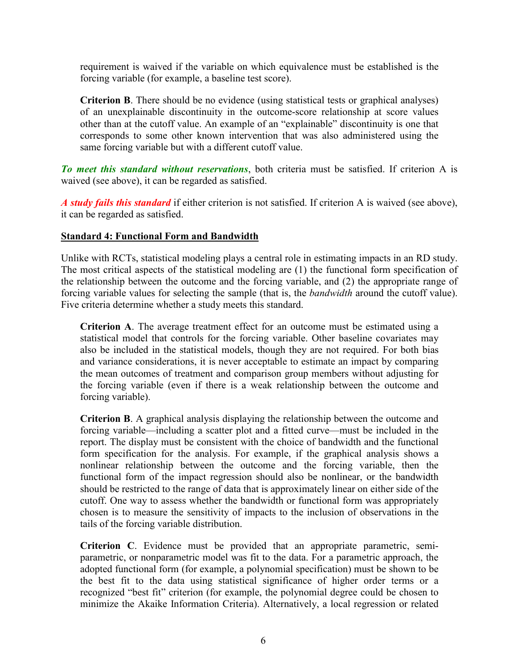requirement is waived if the variable on which equivalence must be established is the forcing variable (for example, a baseline test score).

**Criterion B**. There should be no evidence (using statistical tests or graphical analyses) of an unexplainable discontinuity in the outcome-score relationship at score values other than at the cutoff value. An example of an "explainable" discontinuity is one that corresponds to some other known intervention that was also administered using the same forcing variable but with a different cutoff value.

*To meet this standard without reservations*, both criteria must be satisfied. If criterion A is waived (see above), it can be regarded as satisfied.

*A study fails this standard* if either criterion is not satisfied. If criterion A is waived (see above), it can be regarded as satisfied.

#### **Standard 4: Functional Form and Bandwidth**

Unlike with RCTs, statistical modeling plays a central role in estimating impacts in an RD study. The most critical aspects of the statistical modeling are (1) the functional form specification of the relationship between the outcome and the forcing variable, and (2) the appropriate range of forcing variable values for selecting the sample (that is, the *bandwidth* around the cutoff value). Five criteria determine whether a study meets this standard.

**Criterion A**. The average treatment effect for an outcome must be estimated using a statistical model that controls for the forcing variable. Other baseline covariates may also be included in the statistical models, though they are not required. For both bias and variance considerations, it is never acceptable to estimate an impact by comparing the mean outcomes of treatment and comparison group members without adjusting for the forcing variable (even if there is a weak relationship between the outcome and forcing variable).

**Criterion B**. A graphical analysis displaying the relationship between the outcome and forcing variable—including a scatter plot and a fitted curve—must be included in the report. The display must be consistent with the choice of bandwidth and the functional form specification for the analysis. For example, if the graphical analysis shows a nonlinear relationship between the outcome and the forcing variable, then the functional form of the impact regression should also be nonlinear, or the bandwidth should be restricted to the range of data that is approximately linear on either side of the cutoff. One way to assess whether the bandwidth or functional form was appropriately chosen is to measure the sensitivity of impacts to the inclusion of observations in the tails of the forcing variable distribution.

**Criterion C**. Evidence must be provided that an appropriate parametric, semiparametric, or nonparametric model was fit to the data. For a parametric approach, the adopted functional form (for example, a polynomial specification) must be shown to be the best fit to the data using statistical significance of higher order terms or a recognized "best fit" criterion (for example, the polynomial degree could be chosen to minimize the Akaike Information Criteria). Alternatively, a local regression or related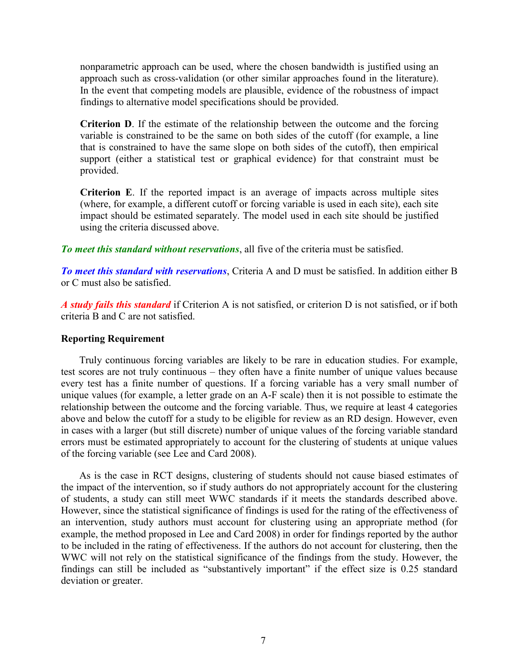nonparametric approach can be used, where the chosen bandwidth is justified using an approach such as cross-validation (or other similar approaches found in the literature). In the event that competing models are plausible, evidence of the robustness of impact findings to alternative model specifications should be provided.

**Criterion D**. If the estimate of the relationship between the outcome and the forcing variable is constrained to be the same on both sides of the cutoff (for example, a line that is constrained to have the same slope on both sides of the cutoff), then empirical support (either a statistical test or graphical evidence) for that constraint must be provided.

**Criterion E**. If the reported impact is an average of impacts across multiple sites (where, for example, a different cutoff or forcing variable is used in each site), each site impact should be estimated separately. The model used in each site should be justified using the criteria discussed above.

*To meet this standard without reservations*, all five of the criteria must be satisfied.

*To meet this standard with reservations*, Criteria A and D must be satisfied. In addition either B or C must also be satisfied.

*A study fails this standard* if Criterion A is not satisfied, or criterion D is not satisfied, or if both criteria B and C are not satisfied.

#### **Reporting Requirement**

Truly continuous forcing variables are likely to be rare in education studies. For example, test scores are not truly continuous – they often have a finite number of unique values because every test has a finite number of questions. If a forcing variable has a very small number of unique values (for example, a letter grade on an A-F scale) then it is not possible to estimate the relationship between the outcome and the forcing variable. Thus, we require at least 4 categories above and below the cutoff for a study to be eligible for review as an RD design. However, even in cases with a larger (but still discrete) number of unique values of the forcing variable standard errors must be estimated appropriately to account for the clustering of students at unique values of the forcing variable (see Lee and Card 2008).

As is the case in RCT designs, clustering of students should not cause biased estimates of the impact of the intervention, so if study authors do not appropriately account for the clustering of students, a study can still meet WWC standards if it meets the standards described above. However, since the statistical significance of findings is used for the rating of the effectiveness of an intervention, study authors must account for clustering using an appropriate method (for example, the method proposed in Lee and Card 2008) in order for findings reported by the author to be included in the rating of effectiveness. If the authors do not account for clustering, then the WWC will not rely on the statistical significance of the findings from the study. However, the findings can still be included as "substantively important" if the effect size is 0.25 standard deviation or greater.